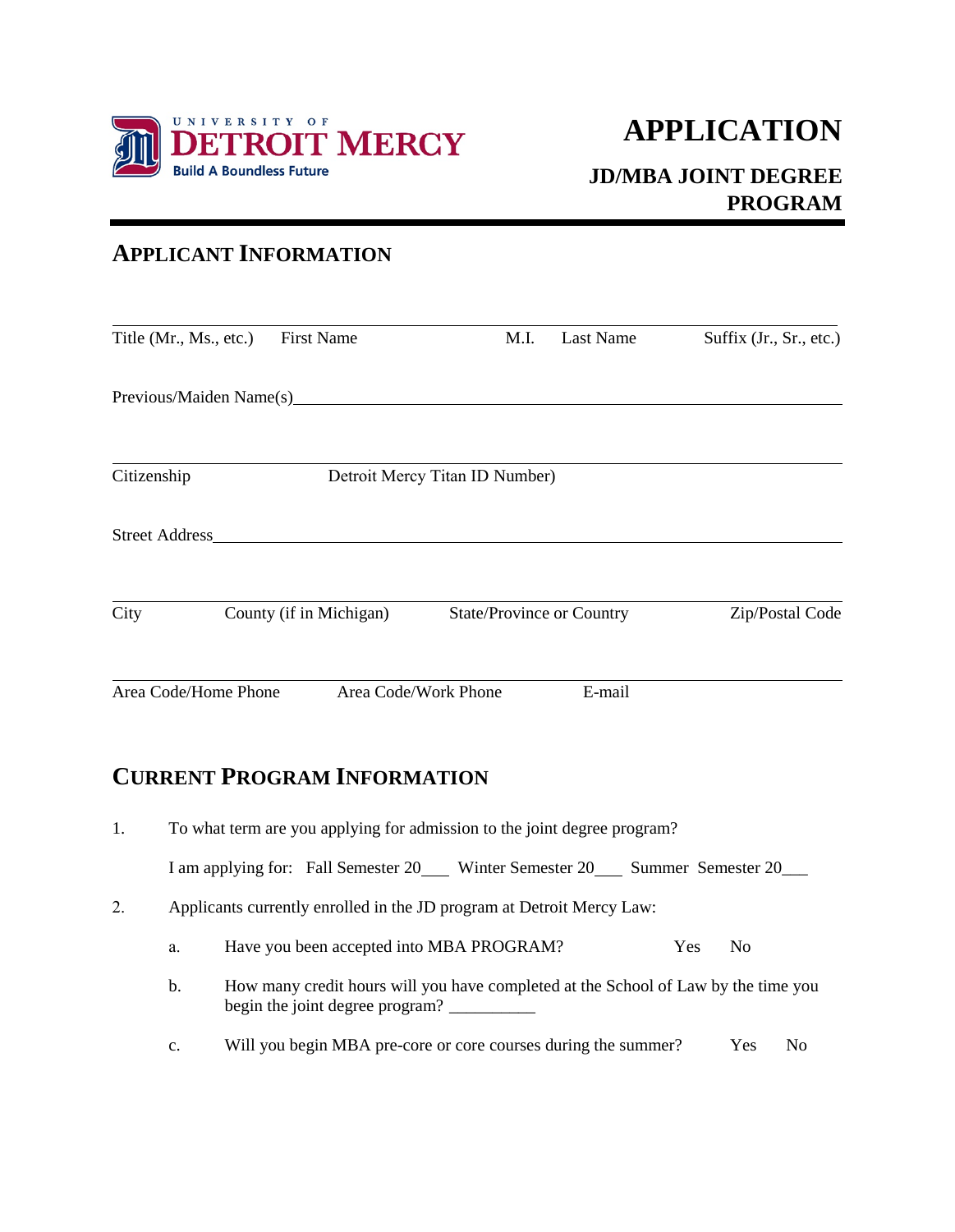

## **JD/MBA JOINT DEGREE PROGRAM**

## **APPLICANT INFORMATION**

| Title (Mr., Ms., etc.)  | <b>First Name</b>              | M.I.                             | Last Name | Suffix (Jr., Sr., etc.) |  |  |  |  |
|-------------------------|--------------------------------|----------------------------------|-----------|-------------------------|--|--|--|--|
| Previous/Maiden Name(s) |                                |                                  |           |                         |  |  |  |  |
| Citizenship             | Detroit Mercy Titan ID Number) |                                  |           |                         |  |  |  |  |
| <b>Street Address</b>   |                                |                                  |           |                         |  |  |  |  |
| City                    | County (if in Michigan)        | <b>State/Province or Country</b> |           | Zip/Postal Code         |  |  |  |  |
| Area Code/Home Phone    |                                | Area Code/Work Phone             | E-mail    |                         |  |  |  |  |

## **CURRENT PROGRAM INFORMATION**

| 1. |                                                                                                                             | To what term are you applying for admission to the joint degree program?  |            |                |                |  |  |  |  |
|----|-----------------------------------------------------------------------------------------------------------------------------|---------------------------------------------------------------------------|------------|----------------|----------------|--|--|--|--|
|    |                                                                                                                             | I am applying for: Fall Semester 20 Winter Semester 20 Summer Semester 20 |            |                |                |  |  |  |  |
| 2. | Applicants currently enrolled in the JD program at Detroit Mercy Law:                                                       |                                                                           |            |                |                |  |  |  |  |
|    | a.                                                                                                                          | Have you been accepted into MBA PROGRAM?                                  | <b>Yes</b> | N <sub>0</sub> |                |  |  |  |  |
|    | How many credit hours will you have completed at the School of Law by the time you<br>b.<br>begin the joint degree program? |                                                                           |            |                |                |  |  |  |  |
|    | $\mathbf{c}$ .                                                                                                              | Will you begin MBA pre-core or core courses during the summer?            |            | <b>Yes</b>     | N <sub>0</sub> |  |  |  |  |